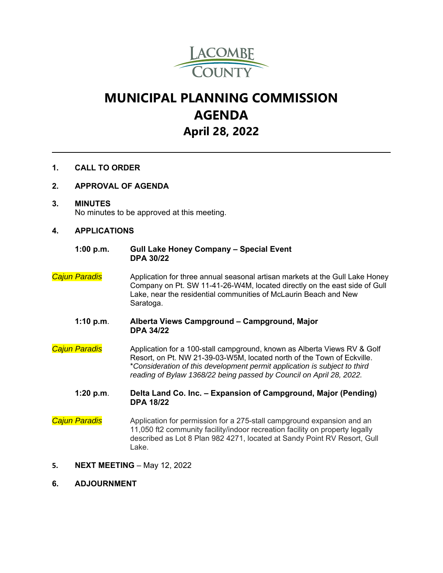

# **MUNICIPAL PLANNING COMMISSION AGENDA April 28, 2022**

## **1. CALL TO ORDER**

#### **2. APPROVAL OF AGENDA**

**3. MINUTES**  No minutes to be approved at this meeting.

### **4. APPLICATIONS**

#### **1:00 p.m. Gull Lake Honey Company – Special Event DPA 30/22**

- *Cajun Paradis* Application for three annual seasonal artisan markets at the Gull Lake Honey Company on Pt. SW 11-41-26-W4M, located directly on the east side of Gull Lake, near the residential communities of McLaurin Beach and New Saratoga.
	- **1:10 p.m**. **Alberta Views Campground Campground, Major DPA 34/22**
- *Cajun Paradis* Application for a 100-stall campground, known as Alberta Views RV & Golf Resort, on Pt. NW 21-39-03-W5M, located north of the Town of Eckville. \**Consideration of this development permit application is subject to third reading of Bylaw 1368/22 being passed by Council on April 28, 2022.*

**1:20 p.m**. **Delta Land Co. Inc. – Expansion of Campground, Major (Pending) DPA 18/22** 

- **Cajun Paradis** Application for permission for a 275-stall campground expansion and an 11,050 ft2 community facility/indoor recreation facility on property legally described as Lot 8 Plan 982 4271, located at Sandy Point RV Resort, Gull Lake.
- **5. NEXT MEETING** May 12, 2022
- **6. ADJOURNMENT**